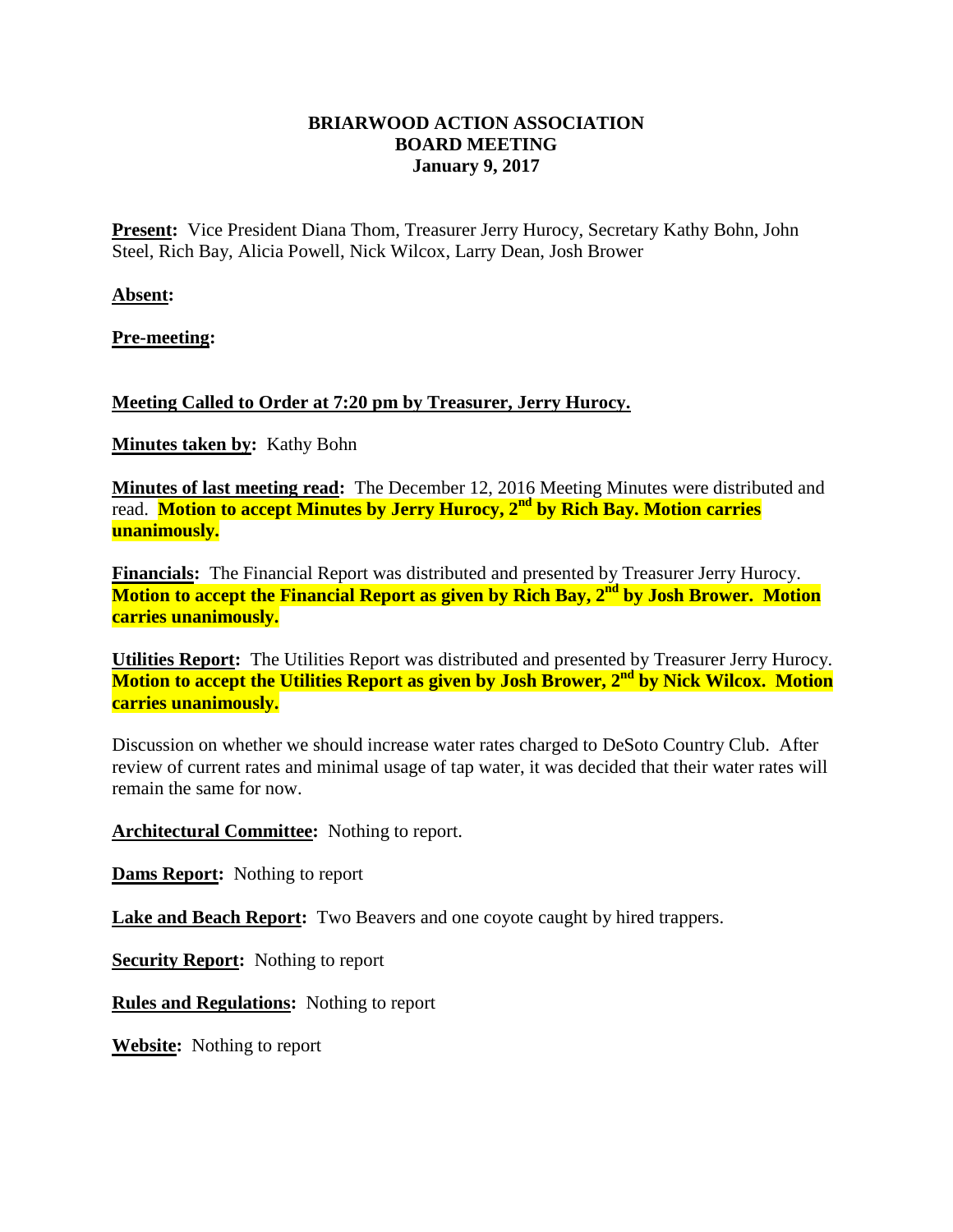## **BRIARWOOD ACTION ASSOCIATION BOARD MEETING January 9, 2017**

**Present:** Vice President Diana Thom, Treasurer Jerry Hurocy, Secretary Kathy Bohn, John Steel, Rich Bay, Alicia Powell, Nick Wilcox, Larry Dean, Josh Brower

**Absent:**

**Pre-meeting:**

## **Meeting Called to Order at 7:20 pm by Treasurer, Jerry Hurocy.**

**Minutes taken by:** Kathy Bohn

**Minutes of last meeting read:** The December 12, 2016 Meeting Minutes were distributed and read. **Motion to accept Minutes by Jerry Hurocy, 2nd by Rich Bay. Motion carries unanimously.**

**Financials:** The Financial Report was distributed and presented by Treasurer Jerry Hurocy. **Motion to accept the Financial Report as given by Rich Bay, 2nd by Josh Brower. Motion carries unanimously.**

**Utilities Report:** The Utilities Report was distributed and presented by Treasurer Jerry Hurocy. **Motion to accept the Utilities Report as given by Josh Brower, 2nd by Nick Wilcox. Motion carries unanimously.**

Discussion on whether we should increase water rates charged to DeSoto Country Club. After review of current rates and minimal usage of tap water, it was decided that their water rates will remain the same for now.

**Architectural Committee:** Nothing to report.

**Dams Report:** Nothing to report

**Lake and Beach Report:** Two Beavers and one coyote caught by hired trappers.

**Security Report:** Nothing to report

**Rules and Regulations:** Nothing to report

**Website:** Nothing to report